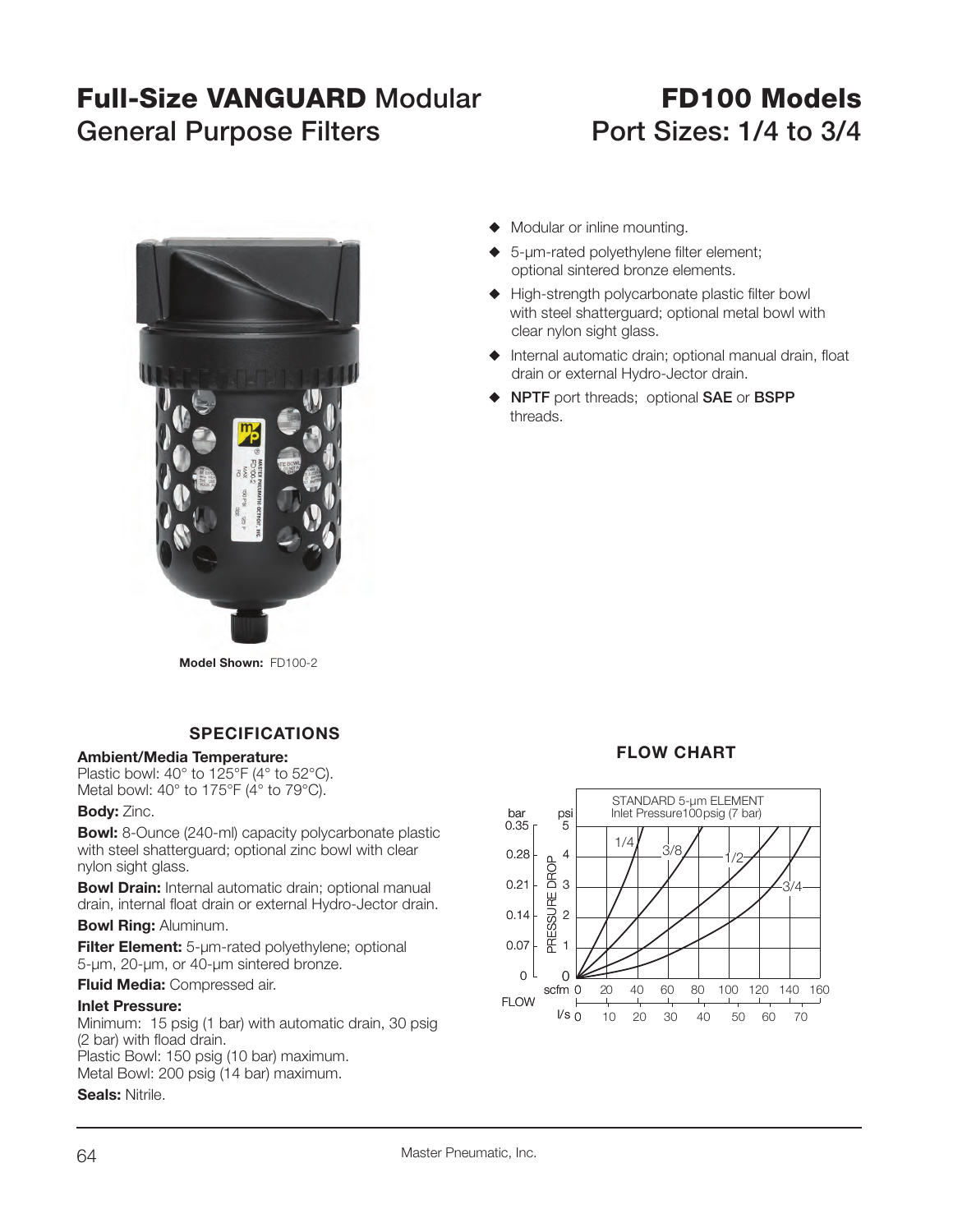# **Full-Size VANGUARD**General Purpose Filters **Port Sizes: 1/4 to 3/4**

# **FD100 Models**



 $\blacklozenge$  Modular or inline mounting.

- $\triangle$  5-um-rated polyethylene filter element; optional sintered bronze elements.
- $\blacklozenge$  High-strength polycarbonate plastic filter bowl with steel shatterguard; optional metal bowl with clear nylon sight glass.
- $\blacklozenge$  Internal automatic drain; optional manual drain, float drain or external Hydro-Jector drain.
- S **NPTF** port threads; optional **SAE** or **BSPP** threads.

**Model Shown:** FD100-2

## **SPECIFICATIONS**

#### **Ambient/Media Temperature:**

Plastic bowl: 40° to 125°F (4° to 52°C). Metal bowl: 40° to 175°F (4° to 79°C).

#### **Body:** Zinc.

**Bowl:** 8-Ounce (240-ml) capacity polycarbonate plastic with steel shatterguard; optional zinc bowl with clear nylon sight glass.

**Bowl Drain:** Internal automatic drain: optional manual drain, internal float drain or external Hydro-Jector drain.

#### **Bowl Ring:** Aluminum.

**Filter Element:** 5-µm-rated polyethylene; optional 5-µm, 20-µm, or 40-µm sintered bronze.

**Fluid Media:** Compressed air.

#### **Inlet Pressure:**

Minimum: 15 psig (1 bar) with automatic drain, 30 psig (2 bar) with fload drain. Plastic Bowl: 150 psig (10 bar) maximum. Metal Bowl: 200 psig (14 bar) maximum. **Seals:** Nitrile.

### **FLOW CHART**